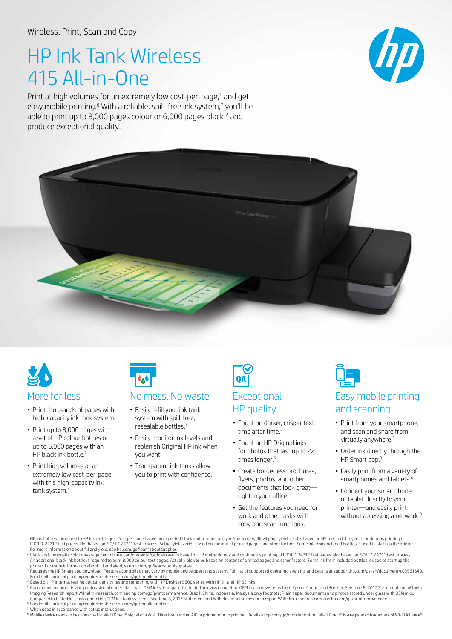## HP Ink Tank Wireless 415 All-in-One

Print at high volumes for an extremely low cost-per-page,<sup>1</sup> and get easy mobile printing.<sup>6</sup> With a reliable, spill-free ink system,<sup>7</sup> you'll be able to print up to 8,000 pages colour or  $6,000$  pages black, $<sup>2</sup>$  and</sup> produce exceptional quality.





- Print thousands of pages with high-capacity ink tank system.
- Print up to 8,000 pages with a set of HP colour bottles or up to 6,000 pages with an HP black ink bottle.<sup>2</sup>
- Print high volumes at an extremely low cost-per-page with this high-capacity ink tank system.<sup>1</sup>



## More for less No mess. No waste Fxceptional

- • Easily refill your ink tank system with spill-free, resealable bottles.7
- Easily monitor ink levels and replenish Original HP ink when you want.
- Transparent ink tanks allow you to print with confidence.



# HP quality

- Count on darker, crisper text, time after time.<sup>4</sup>
- Count on HP Original inks for photos that last up to 22 times longer.<sup>5</sup>
- Create borderless brochures. flyers, photos, and other documents that look great— right in your office.
- Get the features you need for work and other tasks with copy and scan functions.



- Print from your smartphone, and scan and share from virtually anywhere.<sup>3</sup>
- Order ink directly through the HP Smart app.<sup>3</sup>
- Easily print from a variety of smartphones and tablets.<sup>6</sup>
- Connect your smartphone or tablet directly to your printer—and easily print without accessing a network.<sup>8</sup>
- <sup>1</sup> HP ink bottles compared to HP ink cartridges. Cost per page based on expected black and composite (cyan/magenta/yellow) page yield results based on HP methodology and continuous printing of ISO/IEC 24712 test pages. Not based on ISO/IEC 24711 test process. Actual yield varies based on content of printed pages and other factors. Some ink from included bottles is used to start up the printer. For more information about fill and yield, see [hp.com/go/learnaboutsupplies](http://hp.com/go/learnaboutsupplies)
- <sup>2</sup> Black and composite colour average per bottle (cyan/magenta/yellow) results based on HP methodology and continuous printing of ISO/IEC 24712 test pages. Not based on ISO/IEC 24711 test pacess.<br>An additional black ink b
- printer. For more information about fill and yield, see h<u>p.com/go/learnaboutsupplies</u><br><sup>3</sup> Requires the HP Smart app download. Features controlled may vary by mobile device operating system. Full list of supported operatin For details on local printing requirements see [hp.com/go/mobileprinting](http://hp.com/go/mobileprinting)
- Based on HP internal testing optical density testing comparing with HP DeskJet 5800 series with HP 51 and HP 52 inks.
- 5 Plain paper documents and photos stored under glass with OEM inks. Compared to tested in-class competing OEM ink tank systems from Epson, Canon, and Brother. See June 8, 2017 Statement and Wilhelm Imaging Research report <u>[Wilhelm-research.com](http://Wilhelm-research.com)</u> and <u>hp.com/go/printpermanence</u>. Brazil, China, Indonesia, Malaysia only footnote: Plain paper documents and photos stored under glass with OEM inks.<br>Compared to tested in-cla
- <sup>6</sup> For details on local printing requirements see <u>hp.com/go/mobileprinting</u><br><sup>7</sup> When used in accordance with set up instructions.

<sup>8</sup> Mobile device needs to be connected to Wi-Fi Direct® signal of a Wi-Fi Direct-supported AiO or printer prior to printing. Details at [hp.com/go/mobileprinting](http://hp.com/go/mobileprinting). Wi-Fi Direct® is a registered trademark of Wi-Fi Alliance®.